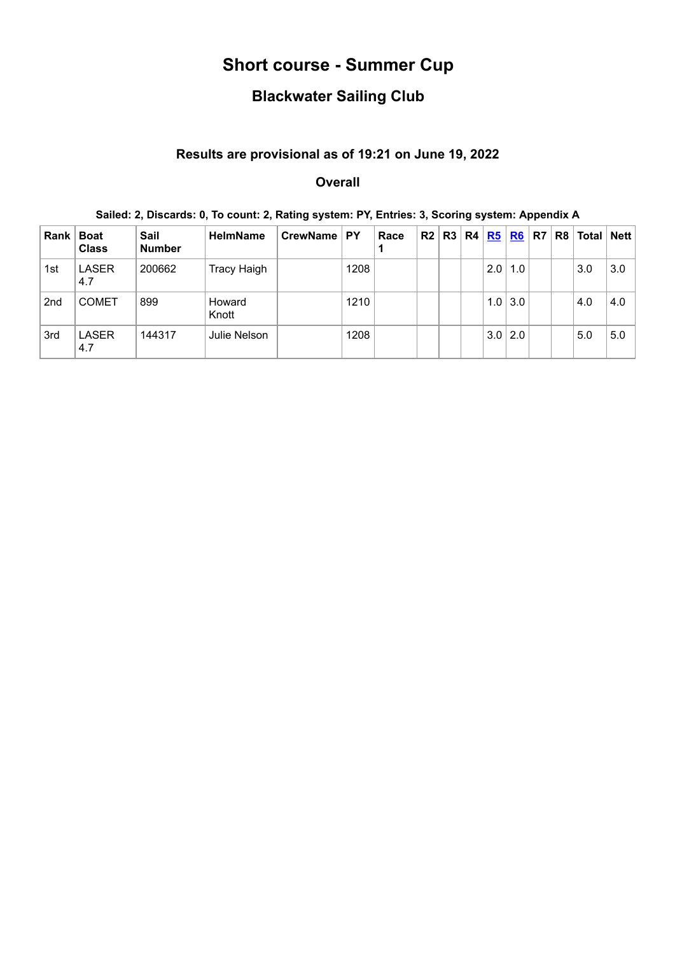# **Short course - Summer Cup**

# **Blackwater Sailing Club**

## **Results are provisional as of 19:21 on June 19, 2022**

### **Overall**

## **Sailed: 2, Discards: 0, To count: 2, Rating system: PY, Entries: 3, Scoring system: Appendix A**

| Rank            | <b>Boat</b><br><b>Class</b> | Sail<br><b>Number</b> | <b>HelmName</b>    | CrewName   PY |      | Race | R2 | R3 | R4 | R5  | <b>R6</b>   | R <sub>7</sub> | R8   Total   Nett |     |
|-----------------|-----------------------------|-----------------------|--------------------|---------------|------|------|----|----|----|-----|-------------|----------------|-------------------|-----|
| 1st             | <b>LASER</b><br>4.7         | 200662                | <b>Tracy Haigh</b> |               | 1208 |      |    |    |    | 2.0 | 1.0         |                | 3.0               | 3.0 |
| 2 <sub>nd</sub> | <b>COMET</b>                | 899                   | Howard<br>Knott    |               | 1210 |      |    |    |    | 1.0 | 3.0         |                | 4.0               | 4.0 |
| 3rd             | <b>LASER</b><br>4.7         | 144317                | Julie Nelson       |               | 1208 |      |    |    |    |     | $3.0$   2.0 |                | 5.0               | 5.0 |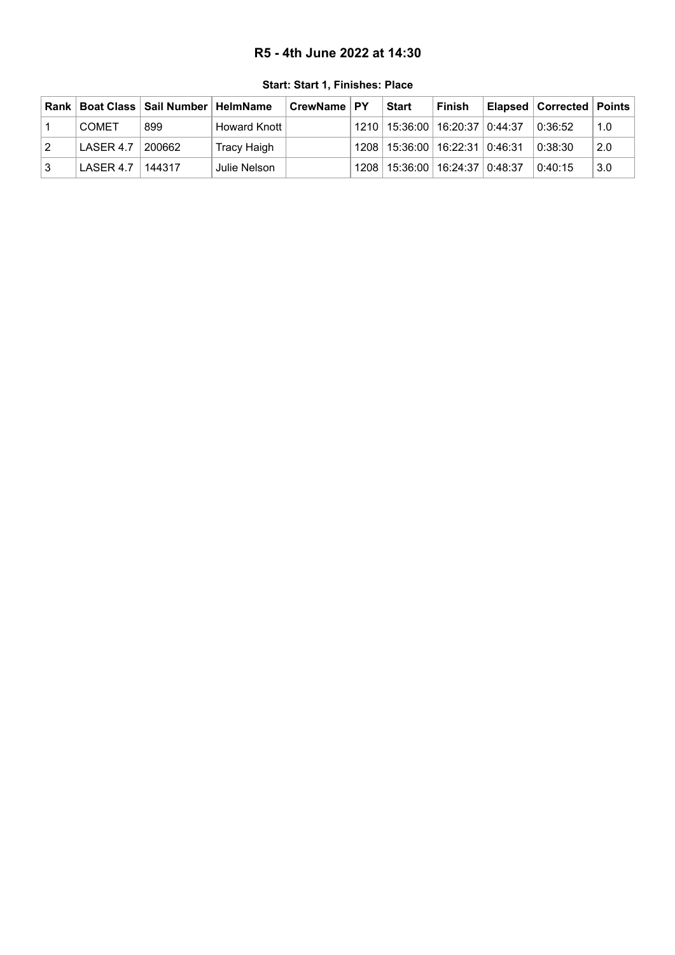### **R5 - 4th June 2022 at 14:30**

<span id="page-1-0"></span>

| ∣Rank I |                    | Boat Class   Sail Number   HelmName |                | ∣ CrewName ∣ PY | <b>Start</b>                         | <b>Finish</b> | Elapsed   Corrected   Points |     |
|---------|--------------------|-------------------------------------|----------------|-----------------|--------------------------------------|---------------|------------------------------|-----|
|         | <b>COMET</b>       | 899                                 | Howard Knott I |                 | 1210   15:36:00   16:20:37   0:44:37 |               | 0:36:52                      | 1.0 |
| 12      | LASER 4.7          | 200662                              | Tracy Haigh    |                 | 1208   15:36:00   16:22:31   0:46:31 |               | 0:38:30                      | 2.0 |
|         | LASER 4.7   144317 |                                     | Julie Nelson   |                 | 1208   15:36:00   16:24:37   0:48:37 |               | 0:40:15                      | 3.0 |

**Start: Start 1, Finishes: Place**